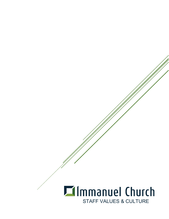# **Ellmmanuel Church** STAFF VALUES & CULTURE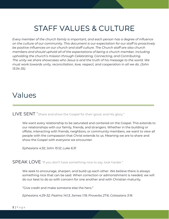# STAFF VALUES & CULTURE

*Every member of the church family is important, and each person has a degree of influence on the culture of our community. This document is our expectation for our staff to proactively be positive influences on our church and staff culture. The Church staff are also church members and should uphold all of the expectations of being a church member, including upholding the church's mission through Celebrating, Connecting, and Contributing. The unity we share showcases who Jesus is and the truth of his message to the world. We must work towards unity, reconciliation, love, respect, and cooperation in all we do. (John 13:34-35).* 

# Values

LIVE SENT "Share and show the Gospel for their good, and His glory."

We want every relationship to be saturated and centered on the Gospel. This extends to our relationships with our family, friends, and strangers. Whether in the building or offsite, interacting with friends, neighbors, or community members, we want to view all people with the compassion that Christ extends to us. Meaning we are to share and show the Gospel with everyone we encounter.

*Ephesians 4:32; John 15:12; Luke 6:31*

SPEAK LOVE "If you don't have something nice to say, look harder."

We seek to encourage, sharpen, and build up each other. We believe there is always something nice that can be said. When correction or admonishment is needed, we will do our best to do so with concern for one another and with Christian maturity.

"Give credit and make someone else the hero."

*Ephesians 4:29-32; Psalms 141:3; James 1:19; Proverbs 27:6; Colossians 3:16*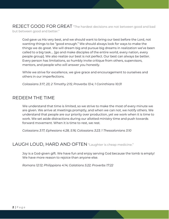REJECT GOOD FOR GREAT "The hardest decisions are not between good and bad but between good and better."

God gave us His very best, and we should want to bring our best before the Lord, not wanting things to be "good enough." We should always look for ways to make the things we do great. We will dream big and pursue big dreams in realization we've been called to a big task…. [go and make disciples of the entire world, every nation, every people group]. We also realize our best is not perfect. Our best can always be better. Every person has limitations, so humbly invite critique from others, supervisors, mentors, and people who will answer you honestly.

While we strive for excellence, we give grace and encouragement to ourselves and others in our imperfections.

*Colossians 3:17, 23; 2 Timothy 2:15; Proverbs 13:4; 1 Corinthians 10:31*

#### REDEEM THE TIME

We understand that time is limited, so we strive to make the most of every minute we are given. We arrive at meetings promptly, and when we can not, we notify others. We understand that people are our priority over production, yet we work when it is time to work. We set aside distractions during our allotted ministry time and push towards forward movement. When it is time to rest, we rest.

*Colossians 3:17; Ephesians 4:28, 5:16; Colossians 3:23; 1 Thessalonians 3:10*

#### LAUGH LOUD, HARD AND OFTEN "Laughter is cheap medicine."

Joy is a God-given gift. We have fun and enjoy serving God because the tomb is empty! We have more reason to rejoice than anyone else.

*Romans 12:12; Philippians 4:14; Galatians 5:22; Proverbs 17:22*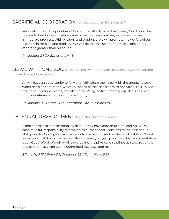#### SACRIFICIAL COOPERATION "It's not about me; it's about us."

We contribute to the priorities of God so that all will benefit and bring God Glory. Our hope is to build kingdom efforts even when it means we may sacrifice our own immediate progress. With wisdom and prudence, we will promote the welfare of our partners in mission and ministry. We will do this in a spirit of humility, considering others as greater than ourselves.

*Philippians 2:1-30; Ephesians 4:1-3*

#### LEAVE WITH ONE VOICE "We are not working toward consensus; we are working toward the right decision."

All will have an opportunity to fully and fairly share their view with the group; however, when decisions are made, we will all speak of that decision with one voice. This unity is true for our actions, words, and attitudes. We agree to support group decisions with humble deference to the group's authority.

*Philippians 2:2; 1 Peter 3:8; 1 Corinthians 1:10; Colossians 3:14*

## PERSONAL DEVELOPMENT "Be better, do better, learn."

If one chooses to stop learning, by default they have chosen to stop leading. We will each take full responsibility to develop as humans and Christians to the best of our ability and for God's glory. We will seek to live healthy and productive lifestyles. We will foster personal disciplines such as Bible reading, prayer, giving, worship, and meditation upon Gods' Word. We will work towards healthy physical disciplines as stewards of the bodies God has given us, including food, exercise, and rest.

*2 Timothy 3:16; 1 Peter 5:8; Galatians 6:1; 1 Corinthians 9:27*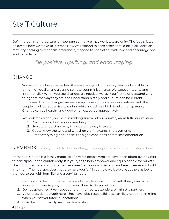# Staff Culture

Defining our internal culture is important so that we may work toward unity. The ideals listed below are how we strive to interact. How we respond to each other should be in all Christian maturity, seeking to reconcile differences, respond to each other with love and encourage one another in faith.

# *Be positive, uplifting, and encouraging.*

#### **CHANGE**

You work here because we feel like you are a good fit in our system and are able to bring high quality and a caring spirit to your ministry area. We expect integrity and intentionality. When you see changes are needed, we ask you first to understand why things are the way they are and understand history and culture behind current ministries. Then, if changes are necessary, have appropriate conversations with the people involved, supervisors, leaders while including a high level of transparency. Change can be healthy and good when executed appropriately.

We look forward to your help in making sure all of our ministry areas fulfill our mission.

- 1. Assume you don't know everything.
- 2. Seek to understand why things are the way they are.
- 3. Get to know the who and why then work towards improvements.
- 4. Proof everything and "pitch" the significant ideas before implementation.

MEMBERS It is not your job to do everything; it is your job to make sure ministry is done.

Immanuel Church is a family made up of diverse people who are have been gifted by the Spirit to participate in the church body. It is your job to help empower and equip people for ministry. The church family and ministry partners aren't at your disposal; you are here to serve and build into them. Their perspectives may also help you fulfill your role well. We treat others as better than ourselves with humility and a serving heart.

- 1. Get to know the church members and attenders. Spend time with them, even when you are not needing anything or want them to do something.
- 2. Do not speak negatively about church members, attenders, or ministry partners.
- 3. Volunteers do not work here. They have jobs, responsibilities, families. Keep that in mind when you set volunteer expectations.
- 4. Give the church family keychain leadership.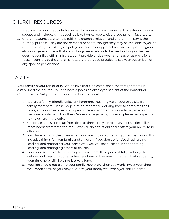### CHURCH RESOURCES

- 1. Practice gracious gratitude. Never ask for non-necessary benefits. This extends to your spouse and includes things such as lake homes, pools, leisure equipment, favors, etc.
- 2. Church resources are to help fulfill the church's mission, and church ministry is their primary purpose. They are not personal benefits, though they may be available to you as a church family member (See policy on Facilities, copy machine use, equipment, games, etc.). Our general rule is that most things are available to be used as long as the use does not conflict with ministries, don't provide undue wear and tear, or usage is for a reason contrary to the church's mission. It is a good practice to see your supervisor for any specific permissions.

#### FAMILY

Your family is your top priority. We believe that God established the family before He established the church. You also have a job as an employee servant of the Immanuel Church family. Set your priorities and follow them well.

- 1. We are a family-friendly office environment, meaning we encourage visits from family members. Please keep in mind others are working hard to complete their tasks, and our main area is an open office environment, so your family may also become problematic for others. We encourage visits; however, please be respectful to the others in the office.
- 2. Childcare issues come up from time to time, and your role has enough flexibility to meet needs from time to time. However, do not let childcare affect your ability to be effective.
- 3. Paid time off is for the times when you must go do something other than work. This includes things for your family and children. If you don't prioritize shepherding, leading, and managing your home well, you will not succeed in shepherding, leading, and managing others at church.
- 4. Your spouse can make or break your time here. If they do not fully embody the culture and mission, your effectiveness here will be very limited, and subsequently, your time here will likely not last very long.
- 5. Your job should not trump your family; however, when you work, invest your time well (work hard), so you may prioritize your family well when you return home.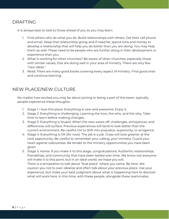#### DRAFTING

It is always best to look to those ahead of you so you may learn.

- 1. Find others who do what you do. Build relationships with others. Get their cell phone and email. Keep that relationship going and if need be, spend time and money to develop a relationship that will help you do better than you are doing. You may help them as well. These need to be people who are further along in their development or experience than you.
- 2. What is working for other churches? Be aware of other churches, especially those with similar values, that are doing well in your area of ministry. There are very few "new ideas."
- 3. Read. There are many good books covering every aspect of ministry. Find good ones and continue learning.

## NEW PLACE/NEW CULTURE

No matter how excited you may be about joining or being a part of this team, typically, people experience these thoughts:

- 1. Stage 1: I love this place. Everything is new and awesome. Enjoy it.
- 2. Stage 2: Everything is challenging. Learning the how, the who, and the why. Take time to learn before making changes.
- 3. Stage 3: Everything is Stupid. When the new wears off, challenges, annoyances, and differences will surface. Previous experiences will tend to look better than the current environment. Be careful not to drift into prejudice, superiority, or arrogance.
- 4. Stage 4: Everything is OK (for now). The job is a job. Grass will look greener at the next opportunity. Be careful to remember your calling, your ministry. Guard your heart against callousness. Be tender to the ministry opportunities you have been given.
- 5. Stage 5: Home. If you make it to this stage, congratulations. Authentic relationships, friendships, and community that have been tested over time. We know not everyone will make it to this point, but in an ideal world, we hope you will. There is a temptation to talk about "that place" where you came. Be here. We caution you not to over-idealize and often talk about your previous place. Use your experience, but make your best judgment about what is happening here to discover what will work here, in this time, with these people, alongside these teammates.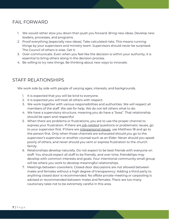## FAIL FORWARD

- 1. We would rather slow you down than push you forward. Bring new ideas. Develop new leaders, processes, and programs.
- 2. Proof everything (especially new ideas). Take calculated risks. This means running things by your supervisors and ministry team. Supervisors should never be surprised. The Council of others is wise. Get it.
- 3. Over-communicate. Even when you feel like the decision is within your authority, it is essential to bring others along in the decision process.
- 4. Be willing to try new things. Be thinking about new ways to innovate.

## STAFF RELATIONSHIPS

We work side by side with people of varying ages, interests, and backgrounds.

- 1. It is expected that you will be kind to everyone.
- 2. It is expected you will treat all others with respect.
- 3. We work together with various responsibilities and authorities. We will respect all members of the staff. *We ask for help*. We do not tell others what to do.
- 4. We have a supervisory structure, meaning you do have a "boss". That relationship should be open and respectful.
- 5. When there are problems or frustrations, you are to use the proper channel to express your frustration. If there are *job-related* questions or problematic issues, go to your supervisor first. If there are *interpersonal issues*, use Matthew 18 and go to the person first. Only when those channels are exhausted should you go to the supervisor's supervisor or another counsel such as an Elder. Never should you speak poorly of others, and never should you vent or express frustration to the church family.
- 6. Relationships develop naturally. Do not expect to be best friends with everyone on staff. You should expect all staff to be friendly, and over time, friendships may develop with common interests and goals. Your intentional community small group will be where you work to develop meaningful relationships.
- 7. Meetings between coworkers. Closed-door discussions are not allowed between males and females without a high degree of transparency. Adding a third party to anything closed door is recommended. No offsite private meeting or carpooling is advised or recommended between males and females. There are too many cautionary tales not to be extremely careful in this area.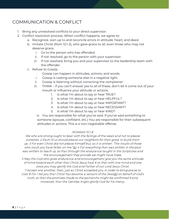## COMMUNICATION & CONFLICT

- 1. Bring any unresolved conflicts to your direct supervisor.
- 2. Conflict resolution process. When conflict happens, we agree to:
	- a. Recognize, own up to and reconcile errors in attitude, heart, and deed.
	- b. Imitate Christ (Rom 12:1-2), who gave grace to all, even those who may not deserve grace.
		- i. Go to the person who has offended.
		- ii. If not resolved, go to the person with your supervisor.
		- iii. If not resolved, bring you and your supervisor to the leadership team with the offender.
	- c. Refuse to Gossip.
		- . Gossip can happen in attitudes, actions, and words.
		- i. Gossip is casting someone else in a negative light.
		- ii. Gossip is listening without correcting the complainer.
		- iii. THINK if you can't answer yes to all of these, don't let it come out of your mouth or influence your attitude or actions.
			- 1. Is what I'm about to say or hear TRUE?
			- 2. Is what I'm about to say or hear HELPFUL?
			- 3. Is what I'm about to say or hear IMPORTANT?
			- 4. Is what I'm about to say or hear NECESSARY?
			- 5. Is what I'm about to say or hear KIND?

iv. You are responsible for what you've said. If you've said something to someone (spouse, confidant, etc.) You are responsible for their subsequent attitudes or actions. This is a non-negotiable offense.

#### ROMANS 15:1-8

We who are strong ought to bear with the failings of the wea k and not to please ourselves. 2 Each of us should please our neighbors for their good, to build them up. 3 For even Christ did not please himself but, as it is written: "The insults of those who insult you have fallen on me.["\[a\]](https://www.biblegateway.com/passage/?search=Romans+15&version=NIV#fen-NIV-28307a) 4 For everything that was written in the past was written to teach us, so that through the endurance taught in the Scriptures and the encouragement they provide we might have hope.

5 May the God who gives endurance and encouragement give you the same attitude of mind toward each other that Christ Jesus had, 6 so that with one mind and one voice you may glorify the God and Father of our Lord Jesus Christ. 7 Accept one another, then, just as Christ accepted you, in order to bring praise to God. 8 For I tell you that Christ has become a servant of the Jews[\[b\]](https://www.biblegateway.com/passage/?search=Romans+15&version=NIV#fen-NIV-28312b) on behalf of God's truth, so that the promises made to the patriarchs might be confirmed 9 and,

moreover, that the Gentiles might glorify God for his mercy.